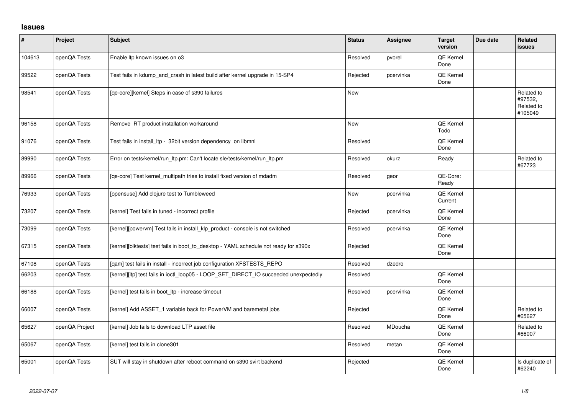## **Issues**

| $\sharp$ | Project        | <b>Subject</b>                                                                       | <b>Status</b> | <b>Assignee</b> | <b>Target</b><br>version    | Due date | <b>Related</b><br><b>issues</b>                |
|----------|----------------|--------------------------------------------------------------------------------------|---------------|-----------------|-----------------------------|----------|------------------------------------------------|
| 104613   | openQA Tests   | Enable Itp known issues on o3                                                        | Resolved      | pvorel          | QE Kernel<br>Done           |          |                                                |
| 99522    | openQA Tests   | Test fails in kdump_and_crash in latest build after kernel upgrade in 15-SP4         | Rejected      | pcervinka       | QE Kernel<br>Done           |          |                                                |
| 98541    | openQA Tests   | [qe-core][kernel] Steps in case of s390 failures                                     | <b>New</b>    |                 |                             |          | Related to<br>#97532,<br>Related to<br>#105049 |
| 96158    | openQA Tests   | Remove RT product installation workaround                                            | <b>New</b>    |                 | QE Kernel<br>Todo           |          |                                                |
| 91076    | openQA Tests   | Test fails in install_ltp - 32bit version dependency on libmnl                       | Resolved      |                 | <b>QE Kernel</b><br>Done    |          |                                                |
| 89990    | openQA Tests   | Error on tests/kernel/run_ltp.pm: Can't locate sle/tests/kernel/run_ltp.pm           | Resolved      | okurz           | Ready                       |          | Related to<br>#67723                           |
| 89966    | openQA Tests   | [qe-core] Test kernel_multipath tries to install fixed version of mdadm              | Resolved      | geor            | QE-Core:<br>Ready           |          |                                                |
| 76933    | openQA Tests   | [opensuse] Add clojure test to Tumbleweed                                            | <b>New</b>    | pcervinka       | <b>QE Kernel</b><br>Current |          |                                                |
| 73207    | openQA Tests   | [kernel] Test fails in tuned - incorrect profile                                     | Rejected      | pcervinka       | QE Kernel<br>Done           |          |                                                |
| 73099    | openQA Tests   | [kernel][powervm] Test fails in install_klp_product - console is not switched        | Resolved      | pcervinka       | QE Kernel<br>Done           |          |                                                |
| 67315    | openQA Tests   | [kernel][blktests] test fails in boot_to_desktop - YAML schedule not ready for s390x | Rejected      |                 | QE Kernel<br>Done           |          |                                                |
| 67108    | openQA Tests   | [qam] test fails in install - incorrect job configuration XFSTESTS_REPO              | Resolved      | dzedro          |                             |          |                                                |
| 66203    | openQA Tests   | [kernel][ltp] test fails in ioctl_loop05 - LOOP_SET_DIRECT_IO succeeded unexpectedly | Resolved      |                 | QE Kernel<br>Done           |          |                                                |
| 66188    | openQA Tests   | [kernel] test fails in boot_ltp - increase timeout                                   | Resolved      | pcervinka       | QE Kernel<br>Done           |          |                                                |
| 66007    | openQA Tests   | [kernel] Add ASSET_1 variable back for PowerVM and baremetal jobs                    | Rejected      |                 | QE Kernel<br>Done           |          | Related to<br>#65627                           |
| 65627    | openQA Project | [kernel] Job fails to download LTP asset file                                        | Resolved      | MDoucha         | QE Kernel<br>Done           |          | Related to<br>#66007                           |
| 65067    | openQA Tests   | [kernel] test fails in clone301                                                      | Resolved      | metan           | QE Kernel<br>Done           |          |                                                |
| 65001    | openQA Tests   | SUT will stay in shutdown after reboot command on s390 svirt backend                 | Rejected      |                 | <b>QE Kernel</b><br>Done    |          | Is duplicate of<br>#62240                      |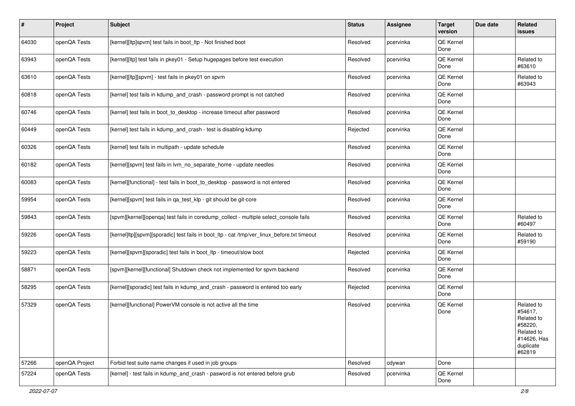| #     | Project        | <b>Subject</b>                                                                              | <b>Status</b> | Assignee  | <b>Target</b><br>version | Due date | Related<br>issues                                                                                  |
|-------|----------------|---------------------------------------------------------------------------------------------|---------------|-----------|--------------------------|----------|----------------------------------------------------------------------------------------------------|
| 64030 | openQA Tests   | [kernel][ltp]spvm] test fails in boot_ltp - Not finished boot                               | Resolved      | pcervinka | QE Kernel<br>Done        |          |                                                                                                    |
| 63943 | openQA Tests   | [kernel][ltp] test fails in pkey01 - Setup hugepages before test execution                  | Resolved      | pcervinka | QE Kernel<br>Done        |          | Related to<br>#63610                                                                               |
| 63610 | openQA Tests   | [kernel][ltp][spvm] - test fails in pkey01 on spvm                                          | Resolved      | pcervinka | QE Kernel<br>Done        |          | Related to<br>#63943                                                                               |
| 60818 | openQA Tests   | [kernel] test fails in kdump_and_crash - password prompt is not catched                     | Resolved      | pcervinka | QE Kernel<br>Done        |          |                                                                                                    |
| 60746 | openQA Tests   | [kernel] test fails in boot to desktop - increase timeout after password                    | Resolved      | pcervinka | QE Kernel<br>Done        |          |                                                                                                    |
| 60449 | openQA Tests   | [kernel] test fails in kdump_and_crash - test is disabling kdump                            | Rejected      | pcervinka | QE Kernel<br>Done        |          |                                                                                                    |
| 60326 | openQA Tests   | [kernel] test fails in multipath - update schedule                                          | Resolved      | pcervinka | QE Kernel<br>Done        |          |                                                                                                    |
| 60182 | openQA Tests   | [kernel][spvm] test fails in lvm_no_separate_home - update needles                          | Resolved      | pcervinka | QE Kernel<br>Done        |          |                                                                                                    |
| 60083 | openQA Tests   | [kernel][functional] - test fails in boot_to_desktop - password is not entered              | Resolved      | pcervinka | QE Kernel<br>Done        |          |                                                                                                    |
| 59954 | openQA Tests   | [kernel][spvm] test fails in qa_test_klp - git should be git-core                           | Resolved      | pcervinka | QE Kernel<br>Done        |          |                                                                                                    |
| 59843 | openQA Tests   | [spvm][kernel][openqa] test fails in coredump_collect - multiple select_console fails       | Resolved      | pcervinka | QE Kernel<br>Done        |          | Related to<br>#60497                                                                               |
| 59226 | openQA Tests   | [kernel]ltp][spvm][sporadic] test fails in boot_ltp - cat /tmp/ver_linux_before.txt timeout | Resolved      | pcervinka | QE Kernel<br>Done        |          | Related to<br>#59190                                                                               |
| 59223 | openQA Tests   | [kernel][spvm][sporadic] test fails in boot_ltp - timeout/slow boot                         | Rejected      | pcervinka | QE Kernel<br>Done        |          |                                                                                                    |
| 58871 | openQA Tests   | [spvm][kernel][functional] Shutdown check not implemented for spvm backend                  | Resolved      | pcervinka | QE Kernel<br>Done        |          |                                                                                                    |
| 58295 | openQA Tests   | [kernel][sporadic] test fails in kdump_and_crash - password is entered too early            | Rejected      | pcervinka | QE Kernel<br>Done        |          |                                                                                                    |
| 57329 | openQA Tests   | [kernel][functional] PowerVM console is not active all the time                             | Resolved      | pcervinka | QE Kernel<br>Done        |          | Related to<br>#54617.<br>Related to<br>#58220,<br>Related to<br>#14626, Has<br>duplicate<br>#62819 |
| 57266 | openQA Project | Forbid test suite name changes if used in job groups                                        | Resolved      | cdywan    | Done                     |          |                                                                                                    |
| 57224 | openQA Tests   | [kernel] - test fails in kdump_and_crash - pasword is not entered before grub               | Resolved      | pcervinka | QE Kernel<br>Done        |          |                                                                                                    |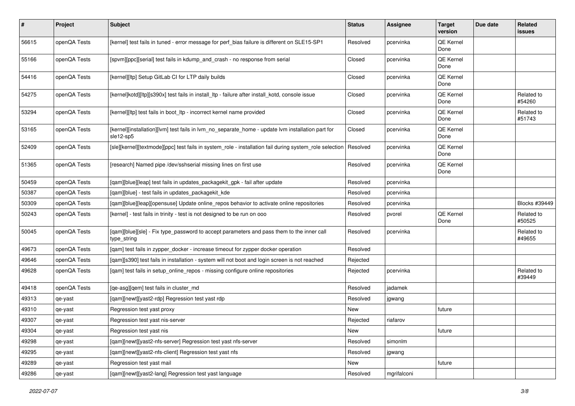| #     | Project      | <b>Subject</b>                                                                                                 | <b>Status</b> | <b>Assignee</b> | <b>Target</b><br>version | Due date | Related<br>issues    |
|-------|--------------|----------------------------------------------------------------------------------------------------------------|---------------|-----------------|--------------------------|----------|----------------------|
| 56615 | openQA Tests | [kernel] test fails in tuned - error message for perf_bias failure is different on SLE15-SP1                   | Resolved      | pcervinka       | QE Kernel<br>Done        |          |                      |
| 55166 | openQA Tests | [spvm][ppc][serial] test fails in kdump_and_crash - no response from serial                                    | Closed        | pcervinka       | QE Kernel<br>Done        |          |                      |
| 54416 | openQA Tests | [kernel][ltp] Setup GitLab CI for LTP daily builds                                                             | Closed        | pcervinka       | QE Kernel<br>Done        |          |                      |
| 54275 | openQA Tests | [kernel]kotd][ltp][s390x] test fails in install_ltp - failure after install_kotd, console issue                | Closed        | pcervinka       | QE Kernel<br>Done        |          | Related to<br>#54260 |
| 53294 | openQA Tests | [kernel][ltp] test fails in boot_ltp - incorrect kernel name provided                                          | Closed        | pcervinka       | QE Kernel<br>Done        |          | Related to<br>#51743 |
| 53165 | openQA Tests | [kernel][installation][lvm] test fails in lvm_no_separate_home - update lvm installation part for<br>sle12-sp5 | Closed        | pcervinka       | QE Kernel<br>Done        |          |                      |
| 52409 | openQA Tests | [sle][kernel][textmode][ppc] test fails in system_role - installation fail during system_role selection        | Resolved      | pcervinka       | QE Kernel<br>Done        |          |                      |
| 51365 | openQA Tests | [research] Named pipe /dev/sshserial missing lines on first use                                                | Resolved      | pcervinka       | QE Kernel<br>Done        |          |                      |
| 50459 | openQA Tests | [qam][blue][leap] test fails in updates_packagekit_gpk - fail after update                                     | Resolved      | pcervinka       |                          |          |                      |
| 50387 | openQA Tests | [gam][blue] - test fails in updates packagekit kde                                                             | Resolved      | pcervinka       |                          |          |                      |
| 50309 | openQA Tests | [qam][blue][leap][opensuse] Update online_repos behavior to activate online repositories                       | Resolved      | pcervinka       |                          |          | Blocks #39449        |
| 50243 | openQA Tests | [kernel] - test fails in trinity - test is not designed to be run on ooo                                       | Resolved      | pvorel          | QE Kernel<br>Done        |          | Related to<br>#50525 |
| 50045 | openQA Tests | [qam][blue][sle] - Fix type_password to accept parameters and pass them to the inner call<br>type_string       | Resolved      | pcervinka       |                          |          | Related to<br>#49655 |
| 49673 | openQA Tests | [qam] test fails in zypper_docker - increase timeout for zypper docker operation                               | Resolved      |                 |                          |          |                      |
| 49646 | openQA Tests | [qam][s390] test fails in installation - system will not boot and login screen is not reached                  | Rejected      |                 |                          |          |                      |
| 49628 | openQA Tests | [qam] test fails in setup_online_repos - missing configure online repositories                                 | Rejected      | pcervinka       |                          |          | Related to<br>#39449 |
| 49418 | openQA Tests | [qe-asg][qem] test fails in cluster_md                                                                         | Resolved      | jadamek         |                          |          |                      |
| 49313 | qe-yast      | [qam][newt][yast2-rdp] Regression test yast rdp                                                                | Resolved      | jgwang          |                          |          |                      |
| 49310 | qe-yast      | Regression test yast proxy                                                                                     | New           |                 | future                   |          |                      |
| 49307 | qe-yast      | Regression test yast nis-server                                                                                | Rejected      | riafarov        |                          |          |                      |
| 49304 | qe-yast      | Regression test yast nis                                                                                       | New           |                 | future                   |          |                      |
| 49298 | qe-yast      | [qam][newt][yast2-nfs-server] Regression test yast nfs-server                                                  | Resolved      | simonlm         |                          |          |                      |
| 49295 | qe-yast      | [gam][newt][yast2-nfs-client] Regression test yast nfs                                                         | Resolved      | jgwang          |                          |          |                      |
| 49289 | qe-yast      | Regression test yast mail                                                                                      | New           |                 | future                   |          |                      |
| 49286 | qe-yast      | [qam][newt][yast2-lang] Regression test yast language                                                          | Resolved      | mgrifalconi     |                          |          |                      |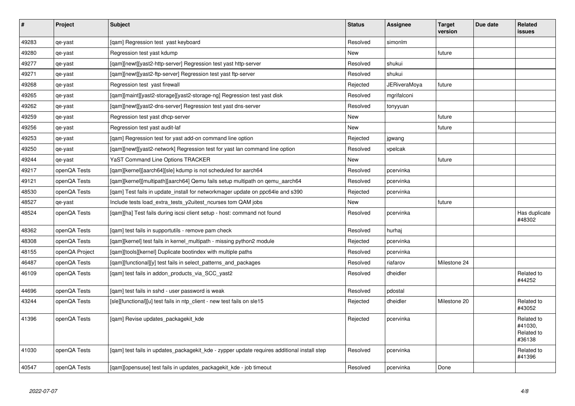| $\vert$ # | Project        | <b>Subject</b>                                                                              | <b>Status</b> | <b>Assignee</b> | <b>Target</b><br>version | Due date | Related<br>issues                             |
|-----------|----------------|---------------------------------------------------------------------------------------------|---------------|-----------------|--------------------------|----------|-----------------------------------------------|
| 49283     | qe-yast        | [gam] Regression test yast keyboard                                                         | Resolved      | simonlm         |                          |          |                                               |
| 49280     | qe-yast        | Regression test yast kdump                                                                  | New           |                 | future                   |          |                                               |
| 49277     | qe-yast        | [gam][newt][yast2-http-server] Regression test yast http-server                             | Resolved      | shukui          |                          |          |                                               |
| 49271     | qe-yast        | [gam][newt][yast2-ftp-server] Regression test yast ftp-server                               | Resolved      | shukui          |                          |          |                                               |
| 49268     | qe-yast        | Regression test yast firewall                                                               | Rejected      | JERiveraMoya    | future                   |          |                                               |
| 49265     | qe-yast        | [qam][maint][yast2-storage][yast2-storage-ng] Regression test yast disk                     | Resolved      | mgrifalconi     |                          |          |                                               |
| 49262     | qe-yast        | [qam][newt][yast2-dns-server] Regression test yast dns-server                               | Resolved      | tonyyuan        |                          |          |                                               |
| 49259     | qe-yast        | Regression test yast dhcp-server                                                            | <b>New</b>    |                 | future                   |          |                                               |
| 49256     | qe-yast        | Regression test yast audit-laf                                                              | New           |                 | future                   |          |                                               |
| 49253     | qe-yast        | [qam] Regression test for yast add-on command line option                                   | Rejected      | jgwang          |                          |          |                                               |
| 49250     | qe-yast        | [qam][newt][yast2-network] Regression test for yast lan command line option                 | Resolved      | vpelcak         |                          |          |                                               |
| 49244     | qe-yast        | YaST Command Line Options TRACKER                                                           | New           |                 | future                   |          |                                               |
| 49217     | openQA Tests   | [qam][kernel][aarch64][sle] kdump is not scheduled for aarch64                              | Resolved      | pcervinka       |                          |          |                                               |
| 49121     | openQA Tests   | [gam][kernel][multipath][aarch64] Qemu fails setup multipath on gemu aarch64                | Resolved      | pcervinka       |                          |          |                                               |
| 48530     | openQA Tests   | [qam] Test fails in update_install for networkmager update on ppc64le and s390              | Rejected      | pcervinka       |                          |          |                                               |
| 48527     | qe-yast        | Include tests load_extra_tests_y2uitest_ncurses tom QAM jobs                                | <b>New</b>    |                 | future                   |          |                                               |
| 48524     | openQA Tests   | [gam][ha] Test fails during iscsi client setup - host: command not found                    | Resolved      | pcervinka       |                          |          | Has duplicate<br>#48302                       |
| 48362     | openQA Tests   | [gam] test fails in supportutils - remove pam check                                         | Resolved      | hurhai          |                          |          |                                               |
| 48308     | openQA Tests   | [qam][kernel] test fails in kernel_multipath - missing python2 module                       | Rejected      | pcervinka       |                          |          |                                               |
| 48155     | openQA Project | [qam][tools][kernel] Duplicate bootindex with multiple paths                                | Resolved      | pcervinka       |                          |          |                                               |
| 46487     | openQA Tests   | [gam][functional][y] test fails in select patterns and packages                             | Resolved      | riafarov        | Milestone 24             |          |                                               |
| 46109     | openQA Tests   | [qam] test fails in addon_products_via_SCC_yast2                                            | Resolved      | dheidler        |                          |          | Related to<br>#44252                          |
| 44696     | openQA Tests   | [gam] test fails in sshd - user password is weak                                            | Resolved      | pdostal         |                          |          |                                               |
| 43244     | openQA Tests   | [sle][functional][u] test fails in ntp_client - new test fails on sle15                     | Rejected      | dheidler        | Milestone 20             |          | Related to<br>#43052                          |
| 41396     | openQA Tests   | [qam] Revise updates_packagekit_kde                                                         | Rejected      | pcervinka       |                          |          | Related to<br>#41030.<br>Related to<br>#36138 |
| 41030     | openQA Tests   | [gam] test fails in updates packagekit kde - zypper update requires additional install step | Resolved      | pcervinka       |                          |          | Related to<br>#41396                          |
| 40547     | openQA Tests   | [gam][opensuse] test fails in updates packagekit kde - job timeout                          | Resolved      | pcervinka       | Done                     |          |                                               |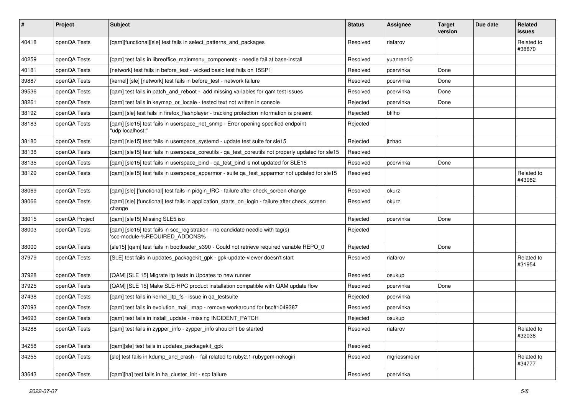| $\vert$ # | Project        | Subject                                                                                                         | <b>Status</b> | Assignee     | <b>Target</b><br>version | Due date | Related<br>issues    |
|-----------|----------------|-----------------------------------------------------------------------------------------------------------------|---------------|--------------|--------------------------|----------|----------------------|
| 40418     | openQA Tests   | [qam][functional][sle] test fails in select_patterns_and_packages                                               | Resolved      | riafarov     |                          |          | Related to<br>#38870 |
| 40259     | openQA Tests   | [qam] test fails in libreoffice_mainmenu_components - needle fail at base-install                               | Resolved      | yuanren10    |                          |          |                      |
| 40181     | openQA Tests   | [network] test fails in before_test - wicked basic test fails on 15SP1                                          | Resolved      | pcervinka    | Done                     |          |                      |
| 39887     | openQA Tests   | [kernel] [sle] [network] test fails in before test - network failure                                            | Resolved      | pcervinka    | Done                     |          |                      |
| 39536     | openQA Tests   | [gam] test fails in patch and reboot - add missing variables for gam test issues                                | Resolved      | pcervinka    | Done                     |          |                      |
| 38261     | openQA Tests   | [qam] test fails in keymap_or_locale - tested text not written in console                                       | Rejected      | pcervinka    | Done                     |          |                      |
| 38192     | openQA Tests   | [qam] [sle] test fails in firefox_flashplayer - tracking protection information is present                      | Rejected      | bfilho       |                          |          |                      |
| 38183     | openQA Tests   | [qam] [sle15] test fails in userspace_net_snmp - Error opening specified endpoint<br>'udp:localhost:"           | Rejected      |              |                          |          |                      |
| 38180     | openQA Tests   | [qam] [sle15] test fails in userspace_systemd - update test suite for sle15                                     | Rejected      | jtzhao       |                          |          |                      |
| 38138     | openQA Tests   | [qam] [sle15] test fails in userspace_coreutils - qa_test_coreutils not properly updated for sle15              | Resolved      |              |                          |          |                      |
| 38135     | openQA Tests   | [gam] [sle15] test fails in userspace bind - ga test bind is not updated for SLE15                              | Resolved      | pcervinka    | Done                     |          |                      |
| 38129     | openQA Tests   | [qam] [sle15] test fails in userspace_apparmor - suite qa_test_apparmor not updated for sle15                   | Resolved      |              |                          |          | Related to<br>#43982 |
| 38069     | openQA Tests   | [qam] [sle] [functional] test fails in pidgin_IRC - failure after check_screen change                           | Resolved      | okurz        |                          |          |                      |
| 38066     | openQA Tests   | [qam] [sle] [functional] test fails in application_starts_on_login - failure after check_screen<br>change       | Resolved      | okurz        |                          |          |                      |
| 38015     | openQA Project | [qam] [sle15] Missing SLE5 iso                                                                                  | Rejected      | pcervinka    | Done                     |          |                      |
| 38003     | openQA Tests   | [qam] [sle15] test fails in scc_registration - no candidate needle with tag(s)<br>'scc-module-%REQUIRED_ADDONS% | Rejected      |              |                          |          |                      |
| 38000     | openQA Tests   | [sle15] [qam] test fails in bootloader_s390 - Could not retrieve required variable REPO_0                       | Rejected      |              | Done                     |          |                      |
| 37979     | openQA Tests   | [SLE] test fails in updates_packagekit_gpk - gpk-update-viewer doesn't start                                    | Resolved      | riafarov     |                          |          | Related to<br>#31954 |
| 37928     | openQA Tests   | [QAM] [SLE 15] Migrate Itp tests in Updates to new runner                                                       | Resolved      | osukup       |                          |          |                      |
| 37925     | openQA Tests   | [QAM] [SLE 15] Make SLE-HPC product installation compatible with QAM update flow                                | Resolved      | pcervinka    | Done                     |          |                      |
| 37438     | openQA Tests   | [gam] test fails in kernel Itp fs - issue in ga testsuite                                                       | Rejected      | pcervinka    |                          |          |                      |
| 37093     | openQA Tests   | [qam] test fails in evolution_mail_imap - remove workaround for bsc#1049387                                     | Resolved      | pcervinka    |                          |          |                      |
| 34693     | openQA Tests   | [qam] test fails in install_update - missing INCIDENT_PATCH                                                     | Rejected      | osukup       |                          |          |                      |
| 34288     | openQA Tests   | [qam] test fails in zypper_info - zypper_info shouldn't be started                                              | Resolved      | riafarov     |                          |          | Related to<br>#32038 |
| 34258     | openQA Tests   | [qam][sle] test fails in updates_packagekit_gpk                                                                 | Resolved      |              |                          |          |                      |
| 34255     | openQA Tests   | [sle] test fails in kdump and crash - fail related to ruby2.1-rubygem-nokogiri                                  | Resolved      | mgriessmeier |                          |          | Related to<br>#34777 |
| 33643     | openQA Tests   | [qam][ha] test fails in ha_cluster_init - scp failure                                                           | Resolved      | pcervinka    |                          |          |                      |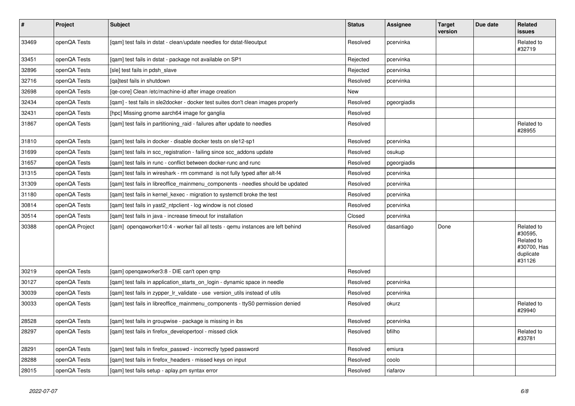| $\vert$ # | <b>Project</b> | <b>Subject</b>                                                                    | <b>Status</b> | Assignee    | <b>Target</b><br>version | Due date | <b>Related</b><br><b>issues</b>                                           |
|-----------|----------------|-----------------------------------------------------------------------------------|---------------|-------------|--------------------------|----------|---------------------------------------------------------------------------|
| 33469     | openQA Tests   | [gam] test fails in dstat - clean/update needles for dstat-fileoutput             | Resolved      | pcervinka   |                          |          | Related to<br>#32719                                                      |
| 33451     | openQA Tests   | [gam] test fails in dstat - package not available on SP1                          | Rejected      | pcervinka   |                          |          |                                                                           |
| 32896     | openQA Tests   | [sle] test fails in pdsh slave                                                    | Rejected      | pcervinka   |                          |          |                                                                           |
| 32716     | openQA Tests   | [ga]test fails in shutdown                                                        | Resolved      | pcervinka   |                          |          |                                                                           |
| 32698     | openQA Tests   | [ge-core] Clean /etc/machine-id after image creation                              | New           |             |                          |          |                                                                           |
| 32434     | openQA Tests   | [qam] - test fails in sle2docker - docker test suites don't clean images properly | Resolved      | pgeorgiadis |                          |          |                                                                           |
| 32431     | openQA Tests   | [hpc] Missing gnome aarch64 image for ganglia                                     | Resolved      |             |                          |          |                                                                           |
| 31867     | openQA Tests   | [gam] test fails in partitioning raid - failures after update to needles          | Resolved      |             |                          |          | Related to<br>#28955                                                      |
| 31810     | openQA Tests   | [gam] test fails in docker - disable docker tests on sle12-sp1                    | Resolved      | pcervinka   |                          |          |                                                                           |
| 31699     | openQA Tests   | [qam] test fails in scc_registration - failing since scc_addons update            | Resolved      | osukup      |                          |          |                                                                           |
| 31657     | openQA Tests   | [qam] test fails in runc - conflict between docker-runc and runc                  | Resolved      | pgeorgiadis |                          |          |                                                                           |
| 31315     | openQA Tests   | [qam] test fails in wireshark - rm command is not fully typed after alt-f4        | Resolved      | pcervinka   |                          |          |                                                                           |
| 31309     | openQA Tests   | [gam] test fails in libreoffice mainmenu components - needles should be updated   | Resolved      | pcervinka   |                          |          |                                                                           |
| 31180     | openQA Tests   | [qam] test fails in kernel_kexec - migration to systemctl broke the test          | Resolved      | pcervinka   |                          |          |                                                                           |
| 30814     | openQA Tests   | [qam] test fails in yast2_ntpclient - log window is not closed                    | Resolved      | pcervinka   |                          |          |                                                                           |
| 30514     | openQA Tests   | [gam] test fails in java - increase timeout for installation                      | Closed        | pcervinka   |                          |          |                                                                           |
| 30388     | openQA Project | [qam] openqaworker10:4 - worker fail all tests - qemu instances are left behind   | Resolved      | dasantiago  | Done                     |          | Related to<br>#30595,<br>Related to<br>#30700, Has<br>duplicate<br>#31126 |
| 30219     | openQA Tests   | [qam] openqaworker3:8 - DIE can't open qmp                                        | Resolved      |             |                          |          |                                                                           |
| 30127     | openQA Tests   | [gam] test fails in application starts on login - dynamic space in needle         | Resolved      | pcervinka   |                          |          |                                                                           |
| 30039     | openQA Tests   | [qam] test fails in zypper_lr_validate - use version_utils instead of utils       | Resolved      | pcervinka   |                          |          |                                                                           |
| 30033     | openQA Tests   | [qam] test fails in libreoffice_mainmenu_components - ttyS0 permission denied     | Resolved      | okurz       |                          |          | Related to<br>#29940                                                      |
| 28528     | openQA Tests   | [gam] test fails in groupwise - package is missing in ibs                         | Resolved      | pcervinka   |                          |          |                                                                           |
| 28297     | openQA Tests   | [gam] test fails in firefox developertool - missed click                          | Resolved      | bfilho      |                          |          | Related to<br>#33781                                                      |
| 28291     | openQA Tests   | [qam] test fails in firefox_passwd - incorrectly typed password                   | Resolved      | emiura      |                          |          |                                                                           |
| 28288     | openQA Tests   | [qam] test fails in firefox_headers - missed keys on input                        | Resolved      | coolo       |                          |          |                                                                           |
| 28015     | openQA Tests   | [qam] test fails setup - aplay.pm syntax error                                    | Resolved      | riafarov    |                          |          |                                                                           |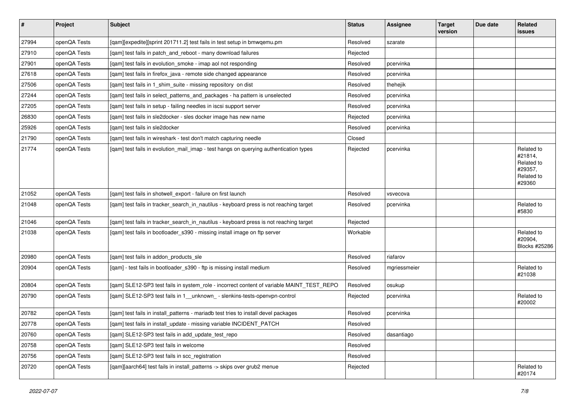| $\vert$ # | Project      | <b>Subject</b>                                                                            | <b>Status</b> | <b>Assignee</b> | <b>Target</b><br>version | Due date | Related<br>issues                                                      |
|-----------|--------------|-------------------------------------------------------------------------------------------|---------------|-----------------|--------------------------|----------|------------------------------------------------------------------------|
| 27994     | openQA Tests | [qam][expedite][sprint 201711.2] test fails in test setup in bmwqemu.pm                   | Resolved      | szarate         |                          |          |                                                                        |
| 27910     | openQA Tests | [gam] test fails in patch and reboot - many download failures                             | Rejected      |                 |                          |          |                                                                        |
| 27901     | openQA Tests | [gam] test fails in evolution smoke - imap aol not responding                             | Resolved      | pcervinka       |                          |          |                                                                        |
| 27618     | openQA Tests | [qam] test fails in firefox_java - remote side changed appearance                         | Resolved      | pcervinka       |                          |          |                                                                        |
| 27506     | openQA Tests | [gam] test fails in 1 shim suite - missing repository on dist                             | Resolved      | thehejik        |                          |          |                                                                        |
| 27244     | openQA Tests | [qam] test fails in select_patterns_and_packages - ha pattern is unselected               | Resolved      | pcervinka       |                          |          |                                                                        |
| 27205     | openQA Tests | [qam] test fails in setup - failing needles in iscsi support server                       | Resolved      | pcervinka       |                          |          |                                                                        |
| 26830     | openQA Tests | [qam] test fails in sle2docker - sles docker image has new name                           | Rejected      | pcervinka       |                          |          |                                                                        |
| 25926     | openQA Tests | [qam] test fails in sle2docker                                                            | Resolved      | pcervinka       |                          |          |                                                                        |
| 21790     | openQA Tests | [gam] test fails in wireshark - test don't match capturing needle                         | Closed        |                 |                          |          |                                                                        |
| 21774     | openQA Tests | [qam] test fails in evolution_mail_imap - test hangs on querying authentication types     | Rejected      | pcervinka       |                          |          | Related to<br>#21814,<br>Related to<br>#29357,<br>Related to<br>#29360 |
| 21052     | openQA Tests | [qam] test fails in shotwell_export - failure on first launch                             | Resolved      | vsvecova        |                          |          |                                                                        |
| 21048     | openQA Tests | [qam] test fails in tracker_search_in_nautilus - keyboard press is not reaching target    | Resolved      | pcervinka       |                          |          | Related to<br>#5830                                                    |
| 21046     | openQA Tests | [qam] test fails in tracker_search_in_nautilus - keyboard press is not reaching target    | Rejected      |                 |                          |          |                                                                        |
| 21038     | openQA Tests | [qam] test fails in bootloader_s390 - missing install image on ftp server                 | Workable      |                 |                          |          | Related to<br>#20904,<br>Blocks #25286                                 |
| 20980     | openQA Tests | [gam] test fails in addon products sle                                                    | Resolved      | riafarov        |                          |          |                                                                        |
| 20904     | openQA Tests | [qam] - test fails in bootloader_s390 - ftp is missing install medium                     | Resolved      | mgriessmeier    |                          |          | Related to<br>#21038                                                   |
| 20804     | openQA Tests | [gam] SLE12-SP3 test fails in system_role - incorrect content of variable MAINT_TEST_REPO | Resolved      | osukup          |                          |          |                                                                        |
| 20790     | openQA Tests | [qam] SLE12-SP3 test fails in 1_unknown_- slenkins-tests-openvpn-control                  | Rejected      | pcervinka       |                          |          | Related to<br>#20002                                                   |
| 20782     | openQA Tests | [qam] test fails in install_patterns - mariadb test tries to install devel packages       | Resolved      | pcervinka       |                          |          |                                                                        |
| 20778     | openQA Tests | [qam] test fails in install_update - missing variable INCIDENT_PATCH                      | Resolved      |                 |                          |          |                                                                        |
| 20760     | openQA Tests | [gam] SLE12-SP3 test fails in add update test repo                                        | Resolved      | dasantiago      |                          |          |                                                                        |
| 20758     | openQA Tests | [qam] SLE12-SP3 test fails in welcome                                                     | Resolved      |                 |                          |          |                                                                        |
| 20756     | openQA Tests | [qam] SLE12-SP3 test fails in scc_registration                                            | Resolved      |                 |                          |          |                                                                        |
| 20720     | openQA Tests | [gam][aarch64] test fails in install patterns -> skips over grub2 menue                   | Rejected      |                 |                          |          | Related to<br>#20174                                                   |